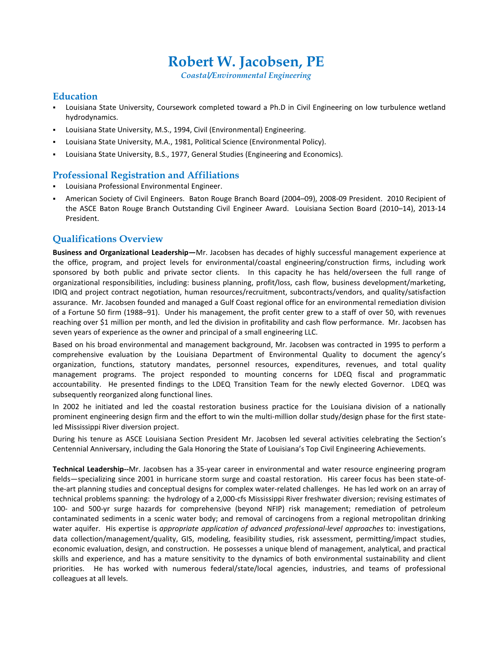# **Robert W. Jacobsen, PE**

*Coastal/Environmental Engineering* 

## **Education**

- Louisiana State University, Coursework completed toward a Ph.D in Civil Engineering on low turbulence wetland hydrodynamics.
- Louisiana State University, M.S., 1994, Civil (Environmental) Engineering.
- Louisiana State University, M.A., 1981, Political Science (Environmental Policy).
- Louisiana State University, B.S., 1977, General Studies (Engineering and Economics).

## **Professional Registration and Affiliations**

- Louisiana Professional Environmental Engineer.
- American Society of Civil Engineers. Baton Rouge Branch Board (2004–09), 2008-09 President. 2010 Recipient of the ASCE Baton Rouge Branch Outstanding Civil Engineer Award. Louisiana Section Board (2010–14), 2013-14 President.

# **Qualifications Overview**

**Business and Organizational Leadership—**Mr. Jacobsen has decades of highly successful management experience at the office, program, and project levels for environmental/coastal engineering/construction firms, including work sponsored by both public and private sector clients. In this capacity he has held/overseen the full range of organizational responsibilities, including: business planning, profit/loss, cash flow, business development/marketing, IDIQ and project contract negotiation, human resources/recruitment, subcontracts/vendors, and quality/satisfaction assurance. Mr. Jacobsen founded and managed a Gulf Coast regional office for an environmental remediation division of a Fortune 50 firm (1988–91). Under his management, the profit center grew to a staff of over 50, with revenues reaching over \$1 million per month, and led the division in profitability and cash flow performance. Mr. Jacobsen has seven years of experience as the owner and principal of a small engineering LLC.

Based on his broad environmental and management background, Mr. Jacobsen was contracted in 1995 to perform a comprehensive evaluation by the Louisiana Department of Environmental Quality to document the agency's organization, functions, statutory mandates, personnel resources, expenditures, revenues, and total quality management programs. The project responded to mounting concerns for LDEQ fiscal and programmatic accountability. He presented findings to the LDEQ Transition Team for the newly elected Governor. LDEQ was subsequently reorganized along functional lines.

In 2002 he initiated and led the coastal restoration business practice for the Louisiana division of a nationally prominent engineering design firm and the effort to win the multi-million dollar study/design phase for the first stateled Mississippi River diversion project.

During his tenure as ASCE Louisiana Section President Mr. Jacobsen led several activities celebrating the Section's Centennial Anniversary, including the Gala Honoring the State of Louisiana's Top Civil Engineering Achievements.

**Technical Leadership--**Mr. Jacobsen has a 35-year career in environmental and water resource engineering program fields—specializing since 2001 in hurricane storm surge and coastal restoration. His career focus has been state-ofthe-art planning studies and conceptual designs for complex water-related challenges. He has led work on an array of technical problems spanning: the hydrology of a 2,000-cfs Mississippi River freshwater diversion; revising estimates of 100- and 500-yr surge hazards for comprehensive (beyond NFIP) risk management; remediation of petroleum contaminated sediments in a scenic water body; and removal of carcinogens from a regional metropolitan drinking water aquifer. His expertise is *appropriate application of advanced professional-level approaches* to: investigations, data collection/management/quality, GIS, modeling, feasibility studies, risk assessment, permitting/impact studies, economic evaluation, design, and construction. He possesses a unique blend of management, analytical, and practical skills and experience, and has a mature sensitivity to the dynamics of both environmental sustainability and client priorities. He has worked with numerous federal/state/local agencies, industries, and teams of professional colleagues at all levels.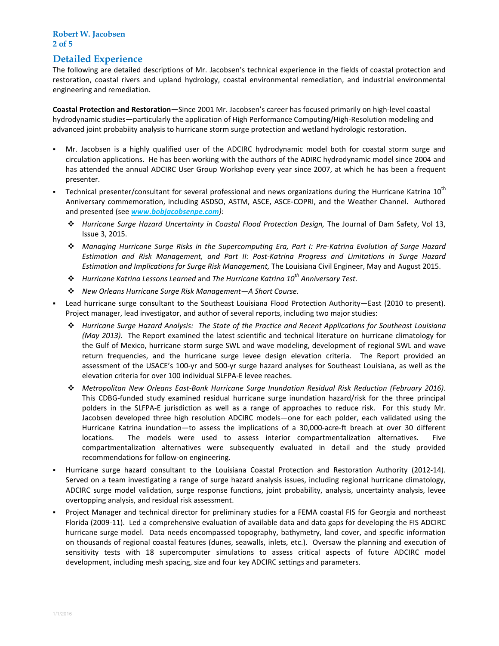#### **Robert W. Jacobsen 2 of 5**

# **Detailed Experience**

The following are detailed descriptions of Mr. Jacobsen's technical experience in the fields of coastal protection and restoration, coastal rivers and upland hydrology, coastal environmental remediation, and industrial environmental engineering and remediation.

**Coastal Protection and Restoration—**Since 2001 Mr. Jacobsen's career has focused primarily on high-level coastal hydrodynamic studies—particularly the application of High Performance Computing/High-Resolution modeling and advanced joint probabiity analysis to hurricane storm surge protection and wetland hydrologic restoration.

- Mr. Jacobsen is a highly qualified user of the ADCIRC hydrodynamic model both for coastal storm surge and circulation applications. He has been working with the authors of the ADIRC hydrodynamic model since 2004 and has attended the annual ADCIRC User Group Workshop every year since 2007, at which he has been a frequent presenter.
- Technical presenter/consultant for several professional and news organizations during the Hurricane Katrina 10<sup>th</sup> Anniversary commemoration, including ASDSO, ASTM, ASCE, ASCE-COPRI, and the Weather Channel. Authored and presented (see *www.bobjacobsenpe.com):*
	- *Hurricane Surge Hazard Uncertainty in Coastal Flood Protection Design,* The Journal of Dam Safety, Vol 13, Issue 3, 2015.
	- *Managing Hurricane Surge Risks in the Supercomputing Era, Part I: Pre-Katrina Evolution of Surge Hazard Estimation and Risk Management, and Part II: Post-Katrina Progress and Limitations in Surge Hazard Estimation and Implications for Surge Risk Management,* The Louisiana Civil Engineer, May and August 2015.
	- *Hurricane Katrina Lessons Learned* and *The Hurricane Katrina 10th Anniversary Test.*
	- *New Orleans Hurricane Surge Risk Management—A Short Course.*
- Lead hurricane surge consultant to the Southeast Louisiana Flood Protection Authority—East (2010 to present). Project manager, lead investigator, and author of several reports, including two major studies:
	- $\ddot{\bm{\cdot} }$  *Hurricane Surge Hazard Analysis: The State of the Practice and Recent Applications for Southeast Louisiana (May 2013)*. The Report examined the latest scientific and technical literature on hurricane climatology for the Gulf of Mexico, hurricane storm surge SWL and wave modeling, development of regional SWL and wave return frequencies, and the hurricane surge levee design elevation criteria. The Report provided an assessment of the USACE's 100-yr and 500-yr surge hazard analyses for Southeast Louisiana, as well as the elevation criteria for over 100 individual SLFPA-E levee reaches.
	- *Metropolitan New Orleans East-Bank Hurricane Surge Inundation Residual Risk Reduction (February 2016)*. This CDBG-funded study examined residual hurricane surge inundation hazard/risk for the three principal polders in the SLFPA-E jurisdiction as well as a range of approaches to reduce risk. For this study Mr. Jacobsen developed three high resolution ADCIRC models—one for each polder, each validated using the Hurricane Katrina inundation—to assess the implications of a 30,000-acre-ft breach at over 30 different locations. The models were used to assess interior compartmentalization alternatives. Five compartmentalization alternatives were subsequently evaluated in detail and the study provided recommendations for follow-on engineering.
- Hurricane surge hazard consultant to the Louisiana Coastal Protection and Restoration Authority (2012-14). Served on a team investigating a range of surge hazard analysis issues, including regional hurricane climatology, ADCIRC surge model validation, surge response functions, joint probability, analysis, uncertainty analysis, levee overtopping analysis, and residual risk assessment.
- Project Manager and technical director for preliminary studies for a FEMA coastal FIS for Georgia and northeast Florida (2009-11). Led a comprehensive evaluation of available data and data gaps for developing the FIS ADCIRC hurricane surge model. Data needs encompassed topography, bathymetry, land cover, and specific information on thousands of regional coastal features (dunes, seawalls, inlets, etc.). Oversaw the planning and execution of sensitivity tests with 18 supercomputer simulations to assess critical aspects of future ADCIRC model development, including mesh spacing, size and four key ADCIRC settings and parameters.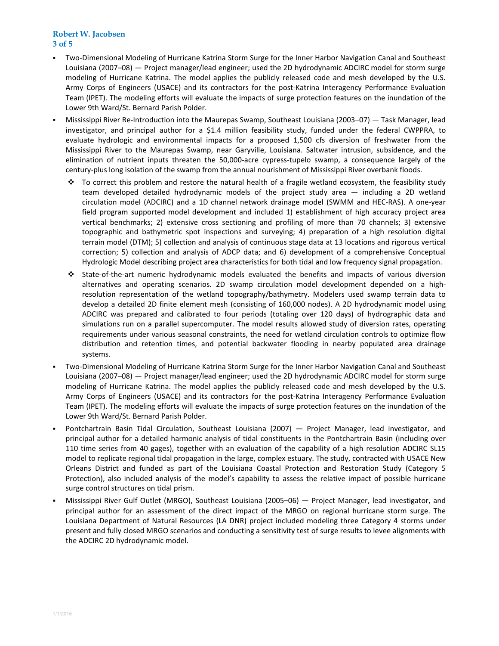## **Robert W. Jacobsen 3 of 5**

- Two-Dimensional Modeling of Hurricane Katrina Storm Surge for the Inner Harbor Navigation Canal and Southeast Louisiana (2007–08) — Project manager/lead engineer; used the 2D hydrodynamic ADCIRC model for storm surge modeling of Hurricane Katrina. The model applies the publicly released code and mesh developed by the U.S. Army Corps of Engineers (USACE) and its contractors for the post-Katrina Interagency Performance Evaluation Team (IPET). The modeling efforts will evaluate the impacts of surge protection features on the inundation of the Lower 9th Ward/St. Bernard Parish Polder.
- Mississippi River Re-Introduction into the Maurepas Swamp, Southeast Louisiana (2003–07) Task Manager, lead investigator, and principal author for a \$1.4 million feasibility study, funded under the federal CWPPRA, to evaluate hydrologic and environmental impacts for a proposed 1,500 cfs diversion of freshwater from the Mississippi River to the Maurepas Swamp, near Garyville, Louisiana. Saltwater intrusion, subsidence, and the elimination of nutrient inputs threaten the 50,000-acre cypress-tupelo swamp, a consequence largely of the century-plus long isolation of the swamp from the annual nourishment of Mississippi River overbank floods.
	- \* To correct this problem and restore the natural health of a fragile wetland ecosystem, the feasibility study team developed detailed hydrodynamic models of the project study area — including a 2D wetland circulation model (ADCIRC) and a 1D channel network drainage model (SWMM and HEC-RAS). A one-year field program supported model development and included 1) establishment of high accuracy project area vertical benchmarks; 2) extensive cross sectioning and profiling of more than 70 channels; 3) extensive topographic and bathymetric spot inspections and surveying; 4) preparation of a high resolution digital terrain model (DTM); 5) collection and analysis of continuous stage data at 13 locations and rigorous vertical correction; 5) collection and analysis of ADCP data; and 6) development of a comprehensive Conceptual Hydrologic Model describing project area characteristics for both tidal and low frequency signal propagation.
	- $\ddot{\bullet}$  State-of-the-art numeric hydrodynamic models evaluated the benefits and impacts of various diversion alternatives and operating scenarios. 2D swamp circulation model development depended on a highresolution representation of the wetland topography/bathymetry. Modelers used swamp terrain data to develop a detailed 2D finite element mesh (consisting of 160,000 nodes). A 2D hydrodynamic model using ADCIRC was prepared and calibrated to four periods (totaling over 120 days) of hydrographic data and simulations run on a parallel supercomputer. The model results allowed study of diversion rates, operating requirements under various seasonal constraints, the need for wetland circulation controls to optimize flow distribution and retention times, and potential backwater flooding in nearby populated area drainage systems.
- Two-Dimensional Modeling of Hurricane Katrina Storm Surge for the Inner Harbor Navigation Canal and Southeast Louisiana (2007–08) — Project manager/lead engineer; used the 2D hydrodynamic ADCIRC model for storm surge modeling of Hurricane Katrina. The model applies the publicly released code and mesh developed by the U.S. Army Corps of Engineers (USACE) and its contractors for the post-Katrina Interagency Performance Evaluation Team (IPET). The modeling efforts will evaluate the impacts of surge protection features on the inundation of the Lower 9th Ward/St. Bernard Parish Polder.
- Pontchartrain Basin Tidal Circulation, Southeast Louisiana (2007) Project Manager, lead investigator, and principal author for a detailed harmonic analysis of tidal constituents in the Pontchartrain Basin (including over 110 time series from 40 gages), together with an evaluation of the capability of a high resolution ADCIRC SL15 model to replicate regional tidal propagation in the large, complex estuary. The study, contracted with USACE New Orleans District and funded as part of the Louisiana Coastal Protection and Restoration Study (Category 5 Protection), also included analysis of the model's capability to assess the relative impact of possible hurricane surge control structures on tidal prism.
- Mississippi River Gulf Outlet (MRGO), Southeast Louisiana (2005–06) Project Manager, lead investigator, and principal author for an assessment of the direct impact of the MRGO on regional hurricane storm surge. The Louisiana Department of Natural Resources (LA DNR) project included modeling three Category 4 storms under present and fully closed MRGO scenarios and conducting a sensitivity test of surge results to levee alignments with the ADCIRC 2D hydrodynamic model.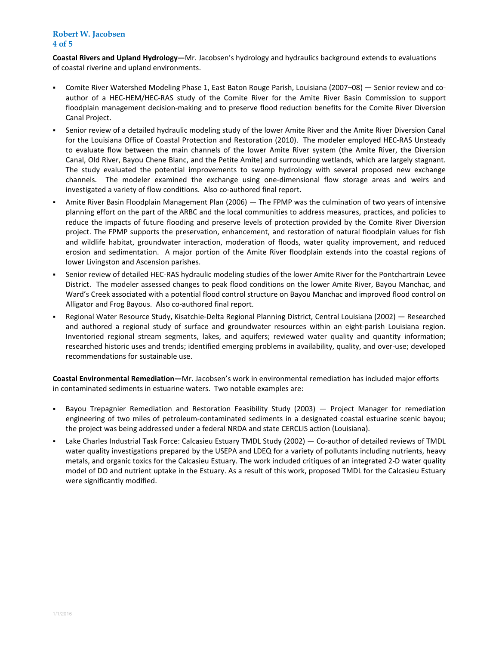#### **Robert W. Jacobsen 4 of 5**

**Coastal Rivers and Upland Hydrology—**Mr. Jacobsen's hydrology and hydraulics background extends to evaluations of coastal riverine and upland environments.

- Comite River Watershed Modeling Phase 1, East Baton Rouge Parish, Louisiana (2007–08) Senior review and coauthor of a HEC-HEM/HEC-RAS study of the Comite River for the Amite River Basin Commission to support floodplain management decision-making and to preserve flood reduction benefits for the Comite River Diversion Canal Project.
- Senior review of a detailed hydraulic modeling study of the lower Amite River and the Amite River Diversion Canal for the Louisiana Office of Coastal Protection and Restoration (2010). The modeler employed HEC-RAS Unsteady to evaluate flow between the main channels of the lower Amite River system (the Amite River, the Diversion Canal, Old River, Bayou Chene Blanc, and the Petite Amite) and surrounding wetlands, which are largely stagnant. The study evaluated the potential improvements to swamp hydrology with several proposed new exchange channels. The modeler examined the exchange using one-dimensional flow storage areas and weirs and investigated a variety of flow conditions. Also co-authored final report.
- Amite River Basin Floodplain Management Plan (2006) The FPMP was the culmination of two years of intensive planning effort on the part of the ARBC and the local communities to address measures, practices, and policies to reduce the impacts of future flooding and preserve levels of protection provided by the Comite River Diversion project. The FPMP supports the preservation, enhancement, and restoration of natural floodplain values for fish and wildlife habitat, groundwater interaction, moderation of floods, water quality improvement, and reduced erosion and sedimentation. A major portion of the Amite River floodplain extends into the coastal regions of lower Livingston and Ascension parishes.
- Senior review of detailed HEC-RAS hydraulic modeling studies of the lower Amite River for the Pontchartrain Levee District. The modeler assessed changes to peak flood conditions on the lower Amite River, Bayou Manchac, and Ward's Creek associated with a potential flood control structure on Bayou Manchac and improved flood control on Alligator and Frog Bayous. Also co-authored final report.
- Regional Water Resource Study, Kisatchie-Delta Regional Planning District, Central Louisiana (2002) Researched and authored a regional study of surface and groundwater resources within an eight-parish Louisiana region. Inventoried regional stream segments, lakes, and aquifers; reviewed water quality and quantity information; researched historic uses and trends; identified emerging problems in availability, quality, and over-use; developed recommendations for sustainable use.

**Coastal Environmental Remediation—**Mr. Jacobsen's work in environmental remediation has included major efforts in contaminated sediments in estuarine waters. Two notable examples are:

- Bayou Trepagnier Remediation and Restoration Feasibility Study (2003) Project Manager for remediation engineering of two miles of petroleum-contaminated sediments in a designated coastal estuarine scenic bayou; the project was being addressed under a federal NRDA and state CERCLIS action (Louisiana).
- Lake Charles Industrial Task Force: Calcasieu Estuary TMDL Study (2002) Co-author of detailed reviews of TMDL water quality investigations prepared by the USEPA and LDEQ for a variety of pollutants including nutrients, heavy metals, and organic toxics for the Calcasieu Estuary. The work included critiques of an integrated 2-D water quality model of DO and nutrient uptake in the Estuary. As a result of this work, proposed TMDL for the Calcasieu Estuary were significantly modified.